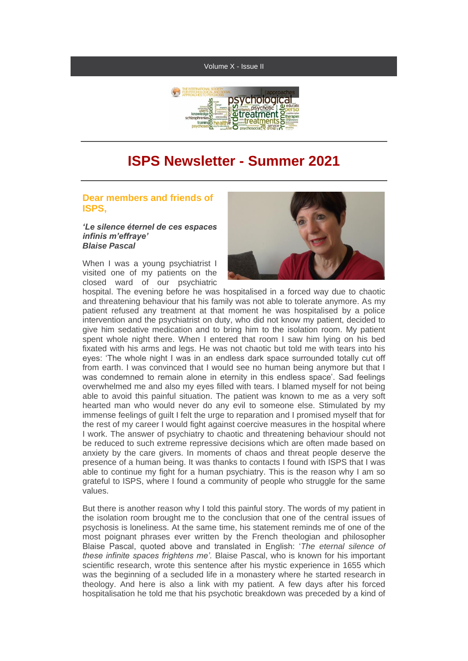#### Volume X - Issue II



# **ISPS Newsletter - Summer 2021**

### **Dear members and friends of ISPS,**

*'Le silence éternel de ces espaces infinis m'effraye' Blaise Pascal*

When I was a young psychiatrist I visited one of my patients on the closed ward of our psychiatric



hospital. The evening before he was hospitalised in a forced way due to chaotic and threatening behaviour that his family was not able to tolerate anymore. As my patient refused any treatment at that moment he was hospitalised by a police intervention and the psychiatrist on duty, who did not know my patient, decided to give him sedative medication and to bring him to the isolation room. My patient spent whole night there. When I entered that room I saw him lying on his bed fixated with his arms and legs. He was not chaotic but told me with tears into his eyes: 'The whole night I was in an endless dark space surrounded totally cut off from earth. I was convinced that I would see no human being anymore but that I was condemned to remain alone in eternity in this endless space'. Sad feelings overwhelmed me and also my eyes filled with tears. I blamed myself for not being able to avoid this painful situation. The patient was known to me as a very soft hearted man who would never do any evil to someone else. Stimulated by my immense feelings of guilt I felt the urge to reparation and I promised myself that for the rest of my career I would fight against coercive measures in the hospital where I work. The answer of psychiatry to chaotic and threatening behaviour should not be reduced to such extreme repressive decisions which are often made based on anxiety by the care givers. In moments of chaos and threat people deserve the presence of a human being. It was thanks to contacts I found with ISPS that I was able to continue my fight for a human psychiatry. This is the reason why I am so grateful to ISPS, where I found a community of people who struggle for the same values.

But there is another reason why I told this painful story. The words of my patient in the isolation room brought me to the conclusion that one of the central issues of psychosis is loneliness. At the same time, his statement reminds me of one of the most poignant phrases ever written by the French theologian and philosopher Blaise Pascal, quoted above and translated in English: '*The eternal silence of these infinite spaces frightens me'.* Blaise Pascal, who is known for his important scientific research, wrote this sentence after his mystic experience in 1655 which was the beginning of a secluded life in a monastery where he started research in theology. And here is also a link with my patient. A few days after his forced hospitalisation he told me that his psychotic breakdown was preceded by a kind of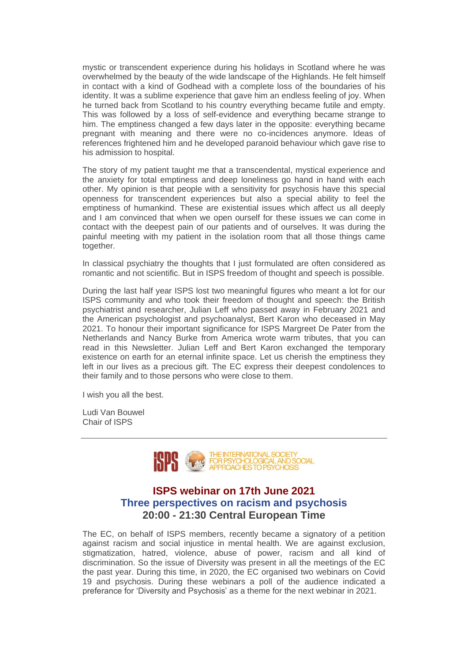mystic or transcendent experience during his holidays in Scotland where he was overwhelmed by the beauty of the wide landscape of the Highlands. He felt himself in contact with a kind of Godhead with a complete loss of the boundaries of his identity. It was a sublime experience that gave him an endless feeling of joy. When he turned back from Scotland to his country everything became futile and empty. This was followed by a loss of self-evidence and everything became strange to him. The emptiness changed a few days later in the opposite: everything became pregnant with meaning and there were no co-incidences anymore. Ideas of references frightened him and he developed paranoid behaviour which gave rise to his admission to hospital.

The story of my patient taught me that a transcendental, mystical experience and the anxiety for total emptiness and deep loneliness go hand in hand with each other. My opinion is that people with a sensitivity for psychosis have this special openness for transcendent experiences but also a special ability to feel the emptiness of humankind. These are existential issues which affect us all deeply and I am convinced that when we open ourself for these issues we can come in contact with the deepest pain of our patients and of ourselves. It was during the painful meeting with my patient in the isolation room that all those things came together.

In classical psychiatry the thoughts that I just formulated are often considered as romantic and not scientific. But in ISPS freedom of thought and speech is possible.

During the last half year ISPS lost two meaningful figures who meant a lot for our ISPS community and who took their freedom of thought and speech: the British psychiatrist and researcher, Julian Leff who passed away in February 2021 and the American psychologist and psychoanalyst, Bert Karon who deceased in May 2021. To honour their important significance for ISPS Margreet De Pater from the Netherlands and Nancy Burke from America wrote warm tributes, that you can read in this Newsletter. Julian Leff and Bert Karon exchanged the temporary existence on earth for an eternal infinite space. Let us cherish the emptiness they left in our lives as a precious gift. The EC express their deepest condolences to their family and to those persons who were close to them.

I wish you all the best.

Ludi Van Bouwel Chair of ISPS



# **ISPS webinar on 17th June 2021 Three perspectives on racism and psychosis 20:00 - 21:30 Central European Time**

The EC, on behalf of ISPS members, recently became a signatory of a petition against racism and social injustice in mental health. We are against exclusion, stigmatization, hatred, violence, abuse of power, racism and all kind of discrimination. So the issue of Diversity was present in all the meetings of the EC the past year. During this time, in 2020, the EC organised two webinars on Covid 19 and psychosis. During these webinars a poll of the audience indicated a preferance for 'Diversity and Psychosis' as a theme for the next webinar in 2021.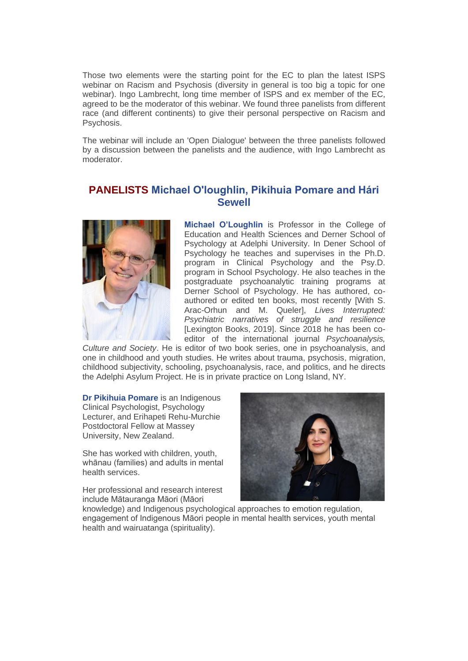Those two elements were the starting point for the EC to plan the latest ISPS webinar on Racism and Psychosis (diversity in general is too big a topic for one webinar). Ingo Lambrecht, long time member of ISPS and ex member of the EC, agreed to be the moderator of this webinar. We found three panelists from different race (and different continents) to give their personal perspective on Racism and Psychosis.

The webinar will include an 'Open Dialogue' between the three panelists followed by a discussion between the panelists and the audience, with Ingo Lambrecht as moderator.

# **PANELISTS Michael O'loughlin, Pikihuia Pomare and Hári Sewell**



**Michael O'Loughlin** is Professor in the College of Education and Health Sciences and Derner School of Psychology at Adelphi University. In Dener School of Psychology he teaches and supervises in the Ph.D. program in Clinical Psychology and the Psy.D. program in School Psychology. He also teaches in the postgraduate psychoanalytic training programs at Derner School of Psychology. He has authored, coauthored or edited ten books, most recently [With S. Arac-Orhun and M. Queler], *Lives Interrupted: Psychiatric narratives of struggle and resilience*  [Lexington Books, 2019]. Since 2018 he has been coeditor of the international journal *Psychoanalysis,* 

*Culture and Society*. He is editor of two book series, one in psychoanalysis, and one in childhood and youth studies. He writes about trauma, psychosis, migration, childhood subjectivity, schooling, psychoanalysis, race, and politics, and he directs the Adelphi Asylum Project. He is in private practice on Long Island, NY.

**Dr Pikihuia Pomare** is an Indigenous Clinical Psychologist, Psychology Lecturer, and Erihapeti Rehu-Murchie Postdoctoral Fellow at Massey University, New Zealand.

She has worked with children, youth, whānau (families) and adults in mental health services.

Her professional and research interest include Mātauranga Māori (Māori



knowledge) and Indigenous psychological approaches to emotion regulation, engagement of Indigenous Māori people in mental health services, youth mental health and wairuatanga (spirituality).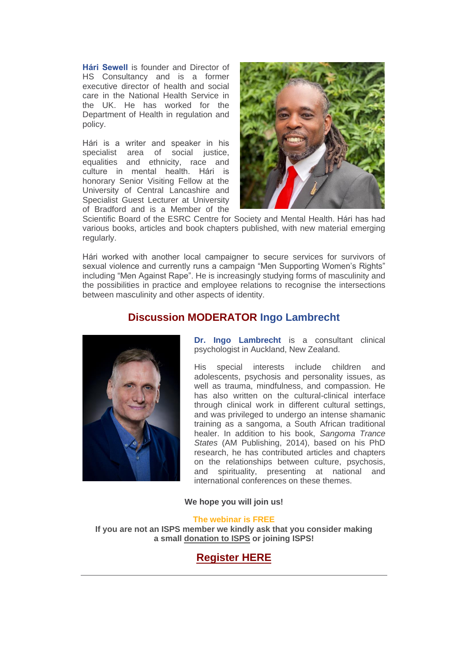**Hári Sewell** is founder and Director of HS Consultancy and is a former executive director of health and social care in the National Health Service in the UK. He has worked for the Department of Health in regulation and policy.

Hári is a writer and speaker in his specialist area of social justice, equalities and ethnicity, race and culture in mental health. Hári is honorary Senior Visiting Fellow at the University of Central Lancashire and Specialist Guest Lecturer at University of Bradford and is a Member of the



Scientific Board of the ESRC Centre for Society and Mental Health. Hári has had various books, articles and book chapters published, with new material emerging regularly.

Hári worked with another local campaigner to secure services for survivors of sexual violence and currently runs a campaign "Men Supporting Women's Rights" including "Men Against Rape". He is increasingly studying forms of masculinity and the possibilities in practice and employee relations to recognise the intersections between masculinity and other aspects of identity.

# **Discussion MODERATOR Ingo Lambrecht**



**Dr. Ingo Lambrecht** is a consultant clinical psychologist in Auckland, New Zealand.

His special interests include children and adolescents, psychosis and personality issues, as well as trauma, mindfulness, and compassion. He has also written on the cultural-clinical interface through clinical work in different cultural settings, and was privileged to undergo an intense shamanic training as a sangoma, a South African traditional healer. In addition to his book, *Sangoma Trance States* (AM Publishing, 2014), based on his PhD research, he has contributed articles and chapters on the relationships between culture, psychosis, and spirituality, presenting at national and international conferences on these themes.

#### **We hope you will join us!**

#### **The webinar is FREE**

**If you are not an ISPS member we kindly ask that you consider making a small [donation to ISPS](https://r20.rs6.net/tn.jsp?f=001FMwv3d49ifISte2pry2pDt2GtwLVPLlz5pX-Kv_E4SF4E3cW_pJYk0Dr-BfCGvadOu0QJYdmxWPNgP8GCMgKB7B57hY_-elNkYEr-s4oQ7yRVnDIQXikA77G8bYEaErlVlla9jxdMsZA6oOgBfwj4QKJ4cP3b4nZ53hRGhW6ndMN37-nyIsQCgNi2NJYPeVd&c=zeE6mHBMrbENLjR4fe2F8DUs4wC0pqfj-1cqH6BULQ16MUxSEIEt8A==&ch=zKTcJJR6plSN4pZfr5apS8TihLtcTZ4isRhrJGNF2qLmNcYolKLFEQ==&jrc=1) or joining ISPS!**

# **[Register HERE](https://r20.rs6.net/tn.jsp?f=001FMwv3d49ifISte2pry2pDt2GtwLVPLlz5pX-Kv_E4SF4E3cW_pJYk5MPcSEIzsvXMPQyPjBDACVLJW1Ct_rJ1bJsg9N4McipLovBBwZ5DTxA66V0z9rRvNIp4NFzmO6m8JF5Pds4OClSpGnDHY9uEBupB3odJVZjBJPgCGLDVWhEXtdrUklgRMWzplP84GV1X1GYKo-CJIc=&c=zeE6mHBMrbENLjR4fe2F8DUs4wC0pqfj-1cqH6BULQ16MUxSEIEt8A==&ch=zKTcJJR6plSN4pZfr5apS8TihLtcTZ4isRhrJGNF2qLmNcYolKLFEQ==&jrc=1)**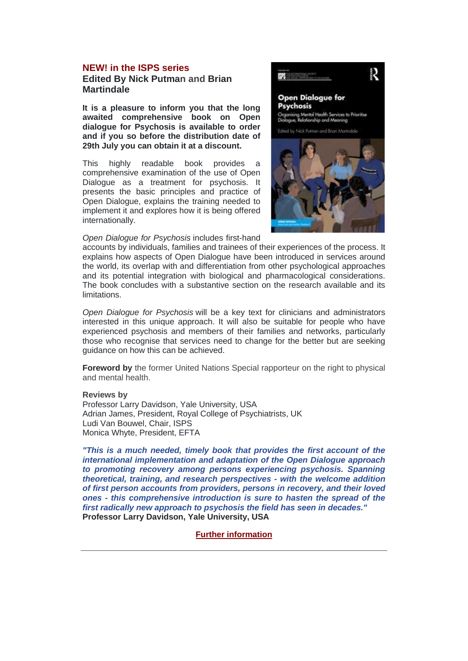#### **NEW! in the ISPS series**

**Edited By [Nick Putman](https://r20.rs6.net/tn.jsp?f=001FMwv3d49ifISte2pry2pDt2GtwLVPLlz5pX-Kv_E4SF4E3cW_pJYk5MPcSEIzsvXvCm_F8ri50HkRTWfzr7-9JaoLOPUPDhtF6NMNVbVIpv9m81vupn9FsSXoChnXtjlJX8TlgK06klc_XGMPVgwIdDYnOzYEZt5LZOgnkwxtORgHoRSJqW2ZzJKXue5c4n1&c=zeE6mHBMrbENLjR4fe2F8DUs4wC0pqfj-1cqH6BULQ16MUxSEIEt8A==&ch=zKTcJJR6plSN4pZfr5apS8TihLtcTZ4isRhrJGNF2qLmNcYolKLFEQ==&jrc=1) and [Brian](https://r20.rs6.net/tn.jsp?f=001FMwv3d49ifISte2pry2pDt2GtwLVPLlz5pX-Kv_E4SF4E3cW_pJYk5MPcSEIzsvXjljt1ySNWJM_wFtiA7owHIn1XIlgvuVuKYeC6afIayeJHqME4efgqvU-kE1goGPWEB4_YF6GnR_dBgteha2m7PE4QzEb-uTeuU7JoIqSjD1Zej9p6nslhCtp5ReIEyhHhTBVPGd1m84=&c=zeE6mHBMrbENLjR4fe2F8DUs4wC0pqfj-1cqH6BULQ16MUxSEIEt8A==&ch=zKTcJJR6plSN4pZfr5apS8TihLtcTZ4isRhrJGNF2qLmNcYolKLFEQ==&jrc=1)  [Martindale](https://r20.rs6.net/tn.jsp?f=001FMwv3d49ifISte2pry2pDt2GtwLVPLlz5pX-Kv_E4SF4E3cW_pJYk5MPcSEIzsvXjljt1ySNWJM_wFtiA7owHIn1XIlgvuVuKYeC6afIayeJHqME4efgqvU-kE1goGPWEB4_YF6GnR_dBgteha2m7PE4QzEb-uTeuU7JoIqSjD1Zej9p6nslhCtp5ReIEyhHhTBVPGd1m84=&c=zeE6mHBMrbENLjR4fe2F8DUs4wC0pqfj-1cqH6BULQ16MUxSEIEt8A==&ch=zKTcJJR6plSN4pZfr5apS8TihLtcTZ4isRhrJGNF2qLmNcYolKLFEQ==&jrc=1)**

**It is a pleasure to inform you that the long awaited comprehensive book on Open dialogue for Psychosis is available to order and if you so before the distribution date of 29th July you can obtain it at a discount.**

This highly readable book provides a comprehensive examination of the use of Open Dialogue as a treatment for psychosis. It presents the basic principles and practice of Open Dialogue, explains the training needed to implement it and explores how it is being offered internationally.



*Open Dialogue for Psychosis* includes first-hand

accounts by individuals, families and trainees of their experiences of the process. It explains how aspects of Open Dialogue have been introduced in services around the world, its overlap with and differentiation from other psychological approaches and its potential integration with biological and pharmacological considerations. The book concludes with a substantive section on the research available and its limitations.

*Open Dialogue for Psychosis* will be a key text for clinicians and administrators interested in this unique approach. It will also be suitable for people who have experienced psychosis and members of their families and networks, particularly those who recognise that services need to change for the better but are seeking guidance on how this can be achieved.

**Foreword by** the former United Nations Special rapporteur on the right to physical and mental health.

#### **Reviews by**

Professor Larry Davidson, Yale University, USA Adrian James, President, Royal College of Psychiatrists, UK Ludi Van Bouwel, Chair, ISPS Monica Whyte, President, EFTA

*"This is a much needed, timely book that provides the first account of the international implementation and adaptation of the Open Dialogue approach to promoting recovery among persons experiencing psychosis. Spanning theoretical, training, and research perspectives - with the welcome addition of first person accounts from providers, persons in recovery, and their loved ones - this comprehensive introduction is sure to hasten the spread of the first radically new approach to psychosis the field has seen in decades."*  **Professor Larry Davidson, Yale University, USA** 

#### **[Further information](https://r20.rs6.net/tn.jsp?f=001FMwv3d49ifISte2pry2pDt2GtwLVPLlz5pX-Kv_E4SF4E3cW_pJYk5MPcSEIzsvXqzgYQxbMpFhzgV3cZ-PE8EdsDDOcNKJJTpBXKcBKXJO4Ml9_nsJGos7uCMfTKduZLJxUkdtIkr2C7IfalgyuelEgIY7iecX5DPR7-ebrJ3wrGO4h0RMloOAKEdjNvZUp8d7lp5rBYN4DLf7kXK4fp5oLaqkqicOnK0OI_B2WE2QBs-nlnNzqFnQmb_tmURan3m6KcBFDheGFBPQ6upOr3eoSLXqvnK0BE-jRj-ZePYNSdOapqmMuEw==&c=zeE6mHBMrbENLjR4fe2F8DUs4wC0pqfj-1cqH6BULQ16MUxSEIEt8A==&ch=zKTcJJR6plSN4pZfr5apS8TihLtcTZ4isRhrJGNF2qLmNcYolKLFEQ==&jrc=1)**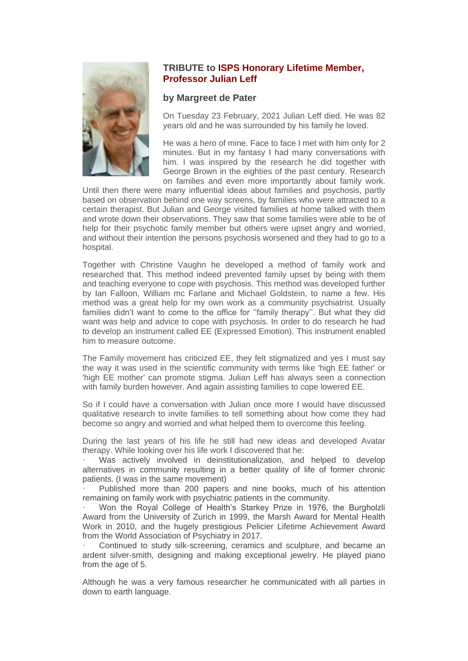

### **TRIBUTE to ISPS Honorary Lifetime Member, Professor Julian Leff**

#### **by Margreet de Pater**

On Tuesday 23 February, 2021 Julian Leff died. He was 82 years old and he was surrounded by his family he loved.

He was a hero of mine. Face to face I met with him only for 2 minutes. But in my fantasy I had many conversations with him. I was inspired by the research he did together with George Brown in the eighties of the past century. Research on families and even more importantly about family work.

Until then there were many influential ideas about families and psychosis, partly based on observation behind one way screens, by families who were attracted to a certain therapist. But Julian and George visited families at home talked with them and wrote down their observations. They saw that some families were able to be of help for their psychotic family member but others were upset angry and worried, and without their intention the persons psychosis worsened and they had to go to a hospital.

Together with Christine Vaughn he developed a method of family work and researched that. This method indeed prevented family upset by being with them and teaching everyone to cope with psychosis. This method was developed further by Ian Falloon, William mc Farlane and Michael Goldstein, to name a few. His method was a great help for my own work as a community psychiatrist. Usually families didn't want to come to the office for ''family therapy''. But what they did want was help and advice to cope with psychosis. In order to do research he had to develop an instrument called EE (Expressed Emotion). This instrument enabled him to measure outcome.

The Family movement has criticized EE, they felt stigmatized and yes I must say the way it was used in the scientific community with terms like 'high EE father' or 'high EE mother' can promote stigma. Julian Leff has always seen a connection with family burden however. And again assisting families to cope lowered EE.

So if I could have a conversation with Julian once more I would have discussed qualitative research to invite families to tell something about how come they had become so angry and worried and what helped them to overcome this feeling.

During the last years of his life he still had new ideas and developed Avatar therapy. While looking over his life work I discovered that he:

Was actively involved in deinstitutionalization, and helped to develop alternatives in community resulting in a better quality of life of former chronic patients. (I was in the same movement)

Published more than 200 papers and nine books, much of his attention remaining on family work with psychiatric patients in the community.

Won the Royal College of Health's Starkey Prize in 1976, the Burgholzli Award from the University of Zurich in 1999, the Marsh Award for Mental Health Work in 2010, and the hugely prestigious Pelicier Lifetime Achievement Award from the World Association of Psychiatry in 2017.

Continued to study silk-screening, ceramics and sculpture, and became an ardent silver-smith, designing and making exceptional jewelry. He played piano from the age of 5.

Although he was a very famous researcher he communicated with all parties in down to earth language.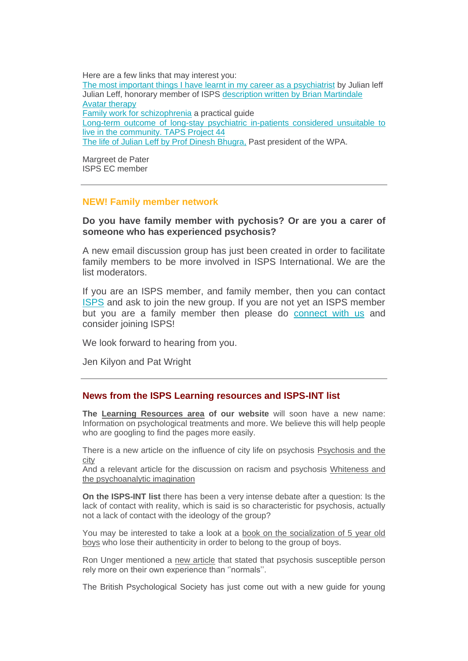Here are a few links that may interest you: [The most important things I have learnt in my career as a psychiatrist](https://r20.rs6.net/tn.jsp?f=001FMwv3d49ifISte2pry2pDt2GtwLVPLlz5pX-Kv_E4SF4E3cW_pJYk5MPcSEIzsvX2PRcklRgVQL5N2kQNqfQnAmuUNvVHF_kZ3bs7l5XZmoG65fyAAwczsMyB_dbtoYFKz43NEQbhk2-TqA-N1oXUJiMnFf3FCOli_KIAsTE1BMgiaeHSGWlYJeffC0pIAo7&c=zeE6mHBMrbENLjR4fe2F8DUs4wC0pqfj-1cqH6BULQ16MUxSEIEt8A==&ch=zKTcJJR6plSN4pZfr5apS8TihLtcTZ4isRhrJGNF2qLmNcYolKLFEQ==&jrc=1) by Julian leff Julian Leff, honorary member of ISPS [description written by Brian Martindale](https://r20.rs6.net/tn.jsp?f=001FMwv3d49ifISte2pry2pDt2GtwLVPLlz5pX-Kv_E4SF4E3cW_pJYk5MPcSEIzsvXfTtE4ntljxThhCL7pU4w5ruWquw4OaR0K5FEhmeoFnjriFrJ-YhRm6iul7zB07D2V5VS6aUeUL7WumW6TRLGG4EHaTT3XLa2Cec3pZlCwwYwmimw6yIIpEoX8arymOD5&c=zeE6mHBMrbENLjR4fe2F8DUs4wC0pqfj-1cqH6BULQ16MUxSEIEt8A==&ch=zKTcJJR6plSN4pZfr5apS8TihLtcTZ4isRhrJGNF2qLmNcYolKLFEQ==&jrc=1) [Avatar therapy](https://r20.rs6.net/tn.jsp?f=001FMwv3d49ifISte2pry2pDt2GtwLVPLlz5pX-Kv_E4SF4E3cW_pJYk5MPcSEIzsvXJh83W4sqpfjRg05hDKsCpLyq29ZNh9_vIhcZOdkVCNjc3YjGfHdI8AAXhviomwHQFPKK453jUcu17A5Mqa30bTrjIGBYHeRS&c=zeE6mHBMrbENLjR4fe2F8DUs4wC0pqfj-1cqH6BULQ16MUxSEIEt8A==&ch=zKTcJJR6plSN4pZfr5apS8TihLtcTZ4isRhrJGNF2qLmNcYolKLFEQ==&jrc=1) [Family work for schizophrenia](https://r20.rs6.net/tn.jsp?f=001FMwv3d49ifISte2pry2pDt2GtwLVPLlz5pX-Kv_E4SF4E3cW_pJYk5MPcSEIzsvX_q-bqOtJ0p3SI6q6vaffrQfyf5rLWjTX-sDQCWvWIkI4ImZbD5XPHcfWIK14yegaKYmsjN9c2TcDHM5UYB2x1Wl80WYbdS7T2L4LaK3cqGQMX913305ZG4Bi6fyamY8DN8tkjSWu-f1_zv5ne66Pug==&c=zeE6mHBMrbENLjR4fe2F8DUs4wC0pqfj-1cqH6BULQ16MUxSEIEt8A==&ch=zKTcJJR6plSN4pZfr5apS8TihLtcTZ4isRhrJGNF2qLmNcYolKLFEQ==&jrc=1) a practical guide [Long-term outcome of long-stay psychiatric in-patients considered unsuitable to](https://r20.rs6.net/tn.jsp?f=001FMwv3d49ifISte2pry2pDt2GtwLVPLlz5pX-Kv_E4SF4E3cW_pJYk5MPcSEIzsvXRy0W6CyaW_KNXGiRnN1PVSyOh7tKVXj5804cYS8s8o955QXMC8gPBJQlhWoxU_TQHDk51LTybPqLOOW97uYztFLgBqwYCLvEypazri-7eQw=&c=zeE6mHBMrbENLjR4fe2F8DUs4wC0pqfj-1cqH6BULQ16MUxSEIEt8A==&ch=zKTcJJR6plSN4pZfr5apS8TihLtcTZ4isRhrJGNF2qLmNcYolKLFEQ==&jrc=1)  [live in the community. TAPS Project 44](https://r20.rs6.net/tn.jsp?f=001FMwv3d49ifISte2pry2pDt2GtwLVPLlz5pX-Kv_E4SF4E3cW_pJYk5MPcSEIzsvXRy0W6CyaW_KNXGiRnN1PVSyOh7tKVXj5804cYS8s8o955QXMC8gPBJQlhWoxU_TQHDk51LTybPqLOOW97uYztFLgBqwYCLvEypazri-7eQw=&c=zeE6mHBMrbENLjR4fe2F8DUs4wC0pqfj-1cqH6BULQ16MUxSEIEt8A==&ch=zKTcJJR6plSN4pZfr5apS8TihLtcTZ4isRhrJGNF2qLmNcYolKLFEQ==&jrc=1) [The life of Julian Leff by Prof Dinesh Bhugra,](https://r20.rs6.net/tn.jsp?f=001FMwv3d49ifISte2pry2pDt2GtwLVPLlz5pX-Kv_E4SF4E3cW_pJYk5MPcSEIzsvXQTrwSanozcs3K4DHLys_o8cqJ7lTtGVYxDaSP1r034dpFygRt9Jn3FXFbRVMTyoBP_Pp73BvkWIkPsMi5UuQPj9iScJxJGKPRRHlvs8Ls7tpACMAk91EqGMt4Uro6hu7cb1YEg-gNXcFxjscPgvqwA==&c=zeE6mHBMrbENLjR4fe2F8DUs4wC0pqfj-1cqH6BULQ16MUxSEIEt8A==&ch=zKTcJJR6plSN4pZfr5apS8TihLtcTZ4isRhrJGNF2qLmNcYolKLFEQ==&jrc=1) Past president of the WPA.

Margreet de Pater ISPS EC member

### **NEW! Family member network**

### **Do you have family member with pychosis? Or are you a carer of someone who has experienced psychosis?**

A new email discussion group has just been created in order to facilitate family members to be more involved in ISPS International. We are the list moderators.

If you are an ISPS member, and family member, then you can contact [ISPS](mailto:isps@isps.org) and ask to join the new group. If you are not yet an ISPS member but you are a family member then please do [connect](mailto:empathywithcarers@yahoo.co.uk) with us and consider joining ISPS!

We look forward to hearing from you.

Jen Kilyon and Pat Wright

#### **News from the ISPS Learning resources and ISPS-INT list**

**The [Learning Resources area](https://r20.rs6.net/tn.jsp?f=001FMwv3d49ifISte2pry2pDt2GtwLVPLlz5pX-Kv_E4SF4E3cW_pJYk1OiJashwCJ9GBi94cHlARahTk_dA34UXbMoprL-bJlge70k5C1iTGaFLK8DlJWhwSKdZdHRcOvoJUrRxCxTA6OPcgeSh3Ux3UHHAuFIsp5fqsFvYOOOWggaqAQO8342vD7ZipsrFqo83tJLS6mCvcDklZ91Dt9jBg==&c=zeE6mHBMrbENLjR4fe2F8DUs4wC0pqfj-1cqH6BULQ16MUxSEIEt8A==&ch=zKTcJJR6plSN4pZfr5apS8TihLtcTZ4isRhrJGNF2qLmNcYolKLFEQ==&jrc=1) of our website** will soon have a new name: Information on psychological treatments and more. We believe this will help people who are googling to find the pages more easily.

There is a new article on the influence of city life on psychosis Psychosis and the [city](https://r20.rs6.net/tn.jsp?f=001FMwv3d49ifISte2pry2pDt2GtwLVPLlz5pX-Kv_E4SF4E3cW_pJYk5MPcSEIzsvXwHjJo3vucJHFECKt3WVVsFJv72BUnq5DlwesrSX3E6Si5THVRGlVPhxTwWnBo3UMhiazW0D_oES5a1SpBt5YKpTBSHNGf_5pO0DukJtf3ofk7JrXtG2tqd4fQ-BPwhnCyISSavtaXlv3Do1nqnWZQR46u9xiGxJ7U9otwVVlK-QtrmaDBb2P2CeBpuTrwY5_1cY5vjaiGMY=&c=zeE6mHBMrbENLjR4fe2F8DUs4wC0pqfj-1cqH6BULQ16MUxSEIEt8A==&ch=zKTcJJR6plSN4pZfr5apS8TihLtcTZ4isRhrJGNF2qLmNcYolKLFEQ==&jrc=1)

And a relevant article for the discussion on racism and psychosis [Whiteness and](https://r20.rs6.net/tn.jsp?f=001FMwv3d49ifISte2pry2pDt2GtwLVPLlz5pX-Kv_E4SF4E3cW_pJYk5MPcSEIzsvXryV8cbaNW3hScmvrIKf2E9U7s0zPP3r82rz5yDQ1r90H3Rs5nr8W238PcDzmhT6DXWp-OWF7IOIREBNStS8UiM2yca4zTsKJTgSMpq09QjM78BT6DMZVk85iIo-i5sVr4QQHRYqRAvSKLlqsmt3nRO3iuuJWmdicBtKkAPG3yhDDIbD-YYlvBkb-4L3LhSFa&c=zeE6mHBMrbENLjR4fe2F8DUs4wC0pqfj-1cqH6BULQ16MUxSEIEt8A==&ch=zKTcJJR6plSN4pZfr5apS8TihLtcTZ4isRhrJGNF2qLmNcYolKLFEQ==&jrc=1)  [the psychoanalytic imagination](https://r20.rs6.net/tn.jsp?f=001FMwv3d49ifISte2pry2pDt2GtwLVPLlz5pX-Kv_E4SF4E3cW_pJYk5MPcSEIzsvXryV8cbaNW3hScmvrIKf2E9U7s0zPP3r82rz5yDQ1r90H3Rs5nr8W238PcDzmhT6DXWp-OWF7IOIREBNStS8UiM2yca4zTsKJTgSMpq09QjM78BT6DMZVk85iIo-i5sVr4QQHRYqRAvSKLlqsmt3nRO3iuuJWmdicBtKkAPG3yhDDIbD-YYlvBkb-4L3LhSFa&c=zeE6mHBMrbENLjR4fe2F8DUs4wC0pqfj-1cqH6BULQ16MUxSEIEt8A==&ch=zKTcJJR6plSN4pZfr5apS8TihLtcTZ4isRhrJGNF2qLmNcYolKLFEQ==&jrc=1)

**On the ISPS-INT list** there has been a very intense debate after a question: Is the lack of contact with reality, which is said is so characteristic for psychosis, actually not a lack of contact with the ideology of the group?

You may be interested to take a look at a [book on the socialization of 5 year old](https://r20.rs6.net/tn.jsp?f=001FMwv3d49ifISte2pry2pDt2GtwLVPLlz5pX-Kv_E4SF4E3cW_pJYk5MPcSEIzsvXMr6q22OxHPzb_TLxkrH8A1gQiIe6HcYmj2BWc_T8RmOqxblbcpWTD8BVYpEwHIkdatimVjDs2rCLJwWt--YChUnyV7RHvGArr8jy68FKr0AXLPGsx6YZDR0pWHfEpQd0&c=zeE6mHBMrbENLjR4fe2F8DUs4wC0pqfj-1cqH6BULQ16MUxSEIEt8A==&ch=zKTcJJR6plSN4pZfr5apS8TihLtcTZ4isRhrJGNF2qLmNcYolKLFEQ==&jrc=1)  [boys](https://r20.rs6.net/tn.jsp?f=001FMwv3d49ifISte2pry2pDt2GtwLVPLlz5pX-Kv_E4SF4E3cW_pJYk5MPcSEIzsvXMr6q22OxHPzb_TLxkrH8A1gQiIe6HcYmj2BWc_T8RmOqxblbcpWTD8BVYpEwHIkdatimVjDs2rCLJwWt--YChUnyV7RHvGArr8jy68FKr0AXLPGsx6YZDR0pWHfEpQd0&c=zeE6mHBMrbENLjR4fe2F8DUs4wC0pqfj-1cqH6BULQ16MUxSEIEt8A==&ch=zKTcJJR6plSN4pZfr5apS8TihLtcTZ4isRhrJGNF2qLmNcYolKLFEQ==&jrc=1) who lose their authenticity in order to belong to the group of boys.

Ron Unger mentioned a [new article](https://r20.rs6.net/tn.jsp?f=001FMwv3d49ifISte2pry2pDt2GtwLVPLlz5pX-Kv_E4SF4E3cW_pJYk5MPcSEIzsvXYN0y9Zi4m-XbME3Guk9pvrjqXChKJgp6uF_rw0GXnyiHybhHWwwbilqkXUlrKYCMmQGI2HLeGMziRfgcoFr6aKngpmXhoUOcIZFvszYTIBqevzJ4lTnwmPU3j4j5OQGn4DIIxo2cy5vl2BGljx9eUKPtizhO3k_AtPhp3A6npmpavbFVDIBratgiNNDUCxk2jyrM558YW8BcT30SQNe3oCG5_H59SSIZ&c=zeE6mHBMrbENLjR4fe2F8DUs4wC0pqfj-1cqH6BULQ16MUxSEIEt8A==&ch=zKTcJJR6plSN4pZfr5apS8TihLtcTZ4isRhrJGNF2qLmNcYolKLFEQ==&jrc=1) that stated that psychosis susceptible person rely more on their own experience than ''normals''.

The British Psychological Society has just come out with a new guide for young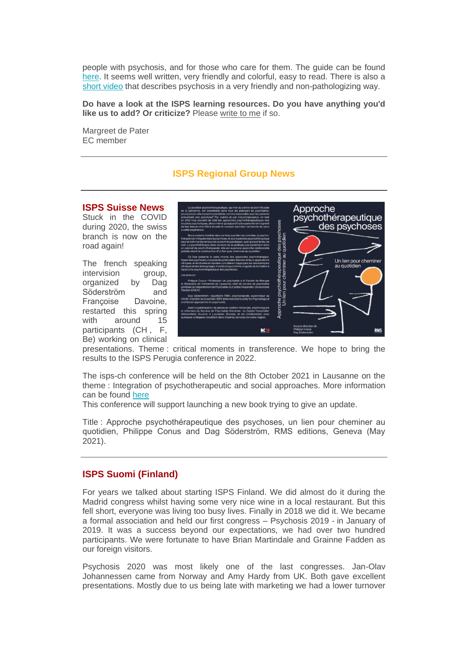people with psychosis, and for those who care for them. The guide can be found [here.](https://r20.rs6.net/tn.jsp?f=001FMwv3d49ifISte2pry2pDt2GtwLVPLlz5pX-Kv_E4SF4E3cW_pJYk5MPcSEIzsvXzfFPTNA4m47TDokUZTyHJUOqg6g317HAIO2PEf9Ep4rlKoC0UBMtMJO8xVdhbQU41eaTrb7_fTSPZzz33O8owdY9aY-98AVTiwCD_6CO_cJap6tyS0PzhVFaivg_eMZMXYd1KvKt9jLWCn7qLu_0w3FQM_OBXQbUVw5GLfcGTW_NqHNxjiyFnw5uLe0fgyVUcJtyX2TRFpS1QxBZ8zOHMaXVa_1FYAEx5FmtHBYJhqmUWKeL1ga1u8uKIyGxCyPn&c=zeE6mHBMrbENLjR4fe2F8DUs4wC0pqfj-1cqH6BULQ16MUxSEIEt8A==&ch=zKTcJJR6plSN4pZfr5apS8TihLtcTZ4isRhrJGNF2qLmNcYolKLFEQ==&jrc=1) It seems well written, very friendly and colorful, easy to read. There is also a [short video](https://r20.rs6.net/tn.jsp?f=001FMwv3d49ifISte2pry2pDt2GtwLVPLlz5pX-Kv_E4SF4E3cW_pJYk5MPcSEIzsvXqtAKoufhLZZrg6ImTuTB7G1AjjeINphSypE-0sgGKFAhGDDkXd-G0whJz_tW0OzMG1HOn1q8x3Ew2yLC07QcB8TV4b6_EZy7TJvjol5HKW01cClhkfM9qGtGha8ymb2L&c=zeE6mHBMrbENLjR4fe2F8DUs4wC0pqfj-1cqH6BULQ16MUxSEIEt8A==&ch=zKTcJJR6plSN4pZfr5apS8TihLtcTZ4isRhrJGNF2qLmNcYolKLFEQ==&jrc=1) that describes psychosis in a very friendly and non-pathologizing way.

**Do have a look at the ISPS learning resources. Do you have anything you'd like us to add? Or criticize?** Please [write to me](mailto:margreet.depater@ziggo.nl) if so.

Margreet de Pater EC member

### **ISPS Regional Group News**

#### **ISPS Suisse News**

Stuck in the COVID during 2020, the swiss branch is now on the road again!

The french speaking intervision group, organized by Dag Söderström and Françoise Davoine, restarted this spring with around 15 participants (CH , F, Be) working on clinical



presentations. Theme : critical moments in transference. We hope to bring the results to the ISPS Perugia conference in 2022.

The isps-ch conference will be held on the 8th October 2021 in Lausanne on the theme : Integration of psychotherapeutic and social approaches. More information can be found [here](https://r20.rs6.net/tn.jsp?f=001FMwv3d49ifISte2pry2pDt2GtwLVPLlz5pX-Kv_E4SF4E3cW_pJYk5MPcSEIzsvXT6rPLGVMkOU4QNbrG94r1x_fOecdwiHSYndgDYXk7DNmNiuRikSp0OTLCps8-ZEZzivWrb6-OQeiTsJ8rE-ZeLk4pOc4wOEXYS6HpezHMIXGeQWsreuYEIEZG4MzZ1bK3cyYko8b4EvP03LPTiD6AA==&c=zeE6mHBMrbENLjR4fe2F8DUs4wC0pqfj-1cqH6BULQ16MUxSEIEt8A==&ch=zKTcJJR6plSN4pZfr5apS8TihLtcTZ4isRhrJGNF2qLmNcYolKLFEQ==&jrc=1) 

This conference will support launching a new book trying to give an update.

Title : Approche psychothérapeutique des psychoses, un lien pour cheminer au quotidien, Philippe Conus and Dag Söderström, RMS editions, Geneva (May 2021).

#### **ISPS Suomi (Finland)**

For years we talked about starting ISPS Finland. We did almost do it during the Madrid congress whilst having some very nice wine in a local restaurant. But this fell short, everyone was living too busy lives. Finally in 2018 we did it. We became a formal association and held our first congress – Psychosis 2019 - in January of 2019. It was a success beyond our expectations, we had over two hundred participants. We were fortunate to have Brian Martindale and Grainne Fadden as our foreign visitors.

Psychosis 2020 was most likely one of the last congresses. Jan-Olav Johannessen came from Norway and Amy Hardy from UK. Both gave excellent presentations. Mostly due to us being late with marketing we had a lower turnover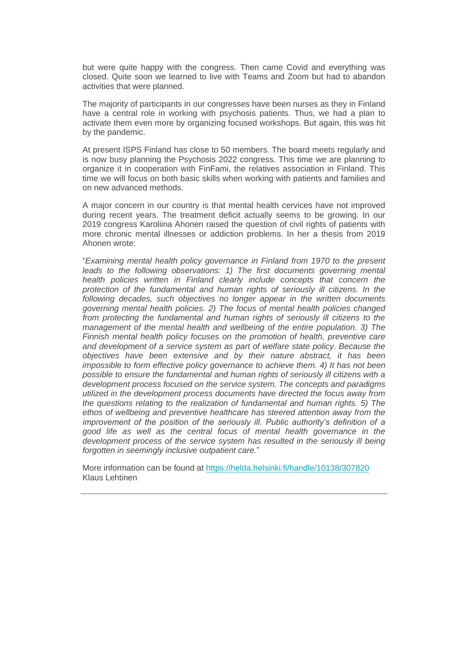but were quite happy with the congress. Then came Covid and everything was closed. Quite soon we learned to live with Teams and Zoom but had to abandon activities that were planned.

The majority of participants in our congresses have been nurses as they in Finland have a central role in working with psychosis patients. Thus, we had a plan to activate them even more by organizing focused workshops. But again, this was hit by the pandemic.

At present ISPS Finland has close to 50 members. The board meets regularly and is now busy planning the Psychosis 2022 congress. This time we are planning to organize it in cooperation with FinFami, the relatives association in Finland. This time we will focus on both basic skills when working with patients and families and on new advanced methods.

A major concern in our country is that mental health cervices have not improved during recent years. The treatment deficit actually seems to be growing. In our 2019 congress Karoliina Ahonen raised the question of civil rights of patients with more chronic mental illnesses or addiction problems. In her a thesis from 2019 Ahonen wrote:

"*Examining mental health policy governance in Finland from 1970 to the present leads to the following observations: 1) The first documents governing mental health policies written in Finland clearly include concepts that concern the protection of the fundamental and human rights of seriously ill citizens. In the following decades, such objectives no longer appear in the written documents governing mental health policies. 2) The focus of mental health policies changed from protecting the fundamental and human rights of seriously ill citizens to the management of the mental health and wellbeing of the entire population. 3) The Finnish mental health policy focuses on the promotion of health, preventive care and development of a service system as part of welfare state policy. Because the objectives have been extensive and by their nature abstract, it has been impossible to form effective policy governance to achieve them. 4) It has not been possible to ensure the fundamental and human rights of seriously ill citizens with a development process focused on the service system. The concepts and paradigms utilized in the development process documents have directed the focus away from the questions relating to the realization of fundamental and human rights. 5) The ethos of wellbeing and preventive healthcare has steered attention away from the improvement of the position of the seriously ill. Public authority's definition of a good life as well as the central focus of mental health governance in the development process of the service system has resulted in the seriously ill being forgotten in seemingly inclusive outpatient care.*"

More information can be found at [https://helda.helsinki.fi/handle/10138/307820](https://r20.rs6.net/tn.jsp?f=001FMwv3d49ifISte2pry2pDt2GtwLVPLlz5pX-Kv_E4SF4E3cW_pJYk5MPcSEIzsvXt6QSYw-y8W7Yzrkq0Ik-qKfEfDm3bFbGF44tdaD59gevGUzpTmPaRhbMJR3rdjqvaFpT57Chl66kPdZ0GNoXtvIaNQkde5uzt5nTv-J6PxWmizMUQXtwAg==&c=zeE6mHBMrbENLjR4fe2F8DUs4wC0pqfj-1cqH6BULQ16MUxSEIEt8A==&ch=zKTcJJR6plSN4pZfr5apS8TihLtcTZ4isRhrJGNF2qLmNcYolKLFEQ==&jrc=1) Klaus Lehtinen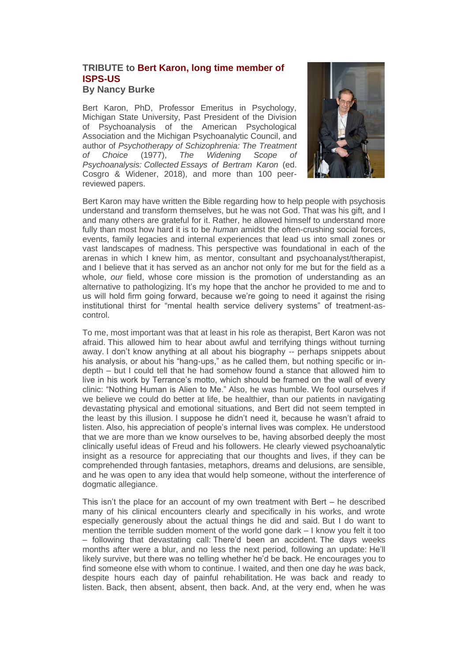# **TRIBUTE to Bert Karon, long time member of ISPS-US**

#### **By Nancy Burke**

Bert Karon, PhD, Professor Emeritus in Psychology, Michigan State University, Past President of the Division of Psychoanalysis of the American Psychological Association and the Michigan Psychoanalytic Council, and author of *Psychotherapy of Schizophrenia: The Treatment of Choice* (1977), *The Widening Scope of Psychoanalysis: Collected Essays of Bertram Karon* (ed. Cosgro & Widener, 2018), and more than 100 peerreviewed papers.



Bert Karon may have written the Bible regarding how to help people with psychosis understand and transform themselves, but he was not God. That was his gift, and I and many others are grateful for it. Rather, he allowed himself to understand more fully than most how hard it is to be *human* amidst the often-crushing social forces, events, family legacies and internal experiences that lead us into small zones or vast landscapes of madness. This perspective was foundational in each of the arenas in which I knew him, as mentor, consultant and psychoanalyst/therapist, and I believe that it has served as an anchor not only for me but for the field as a whole, *our* field, whose core mission is the promotion of understanding as an alternative to pathologizing. It's my hope that the anchor he provided to me and to us will hold firm going forward, because we're going to need it against the rising institutional thirst for "mental health service delivery systems" of treatment-ascontrol.

To me, most important was that at least in his role as therapist, Bert Karon was not afraid. This allowed him to hear about awful and terrifying things without turning away. I don't know anything at all about his biography -- perhaps snippets about his analysis, or about his "hang-ups," as he called them, but nothing specific or indepth – but I could tell that he had somehow found a stance that allowed him to live in his work by Terrance's motto, which should be framed on the wall of every clinic: "Nothing Human is Alien to Me." Also, he was humble. We fool ourselves if we believe we could do better at life, be healthier, than our patients in navigating devastating physical and emotional situations, and Bert did not seem tempted in the least by this illusion. I suppose he didn't need it, because he wasn't afraid to listen. Also, his appreciation of people's internal lives was complex. He understood that we are more than we know ourselves to be, having absorbed deeply the most clinically useful ideas of Freud and his followers. He clearly viewed psychoanalytic insight as a resource for appreciating that our thoughts and lives, if they can be comprehended through fantasies, metaphors, dreams and delusions, are sensible, and he was open to any idea that would help someone, without the interference of dogmatic allegiance.

This isn't the place for an account of my own treatment with Bert – he described many of his clinical encounters clearly and specifically in his works, and wrote especially generously about the actual things he did and said. But I do want to mention the terrible sudden moment of the world gone dark – I know you felt it too – following that devastating call: There'd been an accident. The days weeks months after were a blur, and no less the next period, following an update: He'll likely survive, but there was no telling whether he'd be back. He encourages you to find someone else with whom to continue. I waited, and then one day he *was* back, despite hours each day of painful rehabilitation. He was back and ready to listen. Back, then absent, absent, then back. And, at the very end, when he was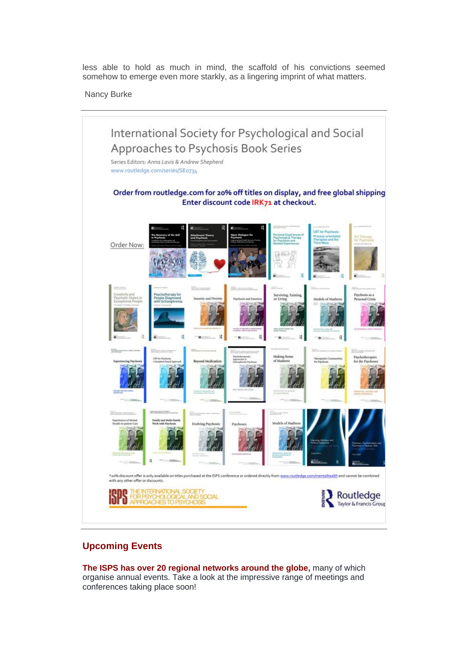less able to hold as much in mind, the scaffold of his convictions seemed somehow to emerge even more starkly, as a lingering imprint of what matters.

Nancy Burke



### **Upcoming Events**

**The ISPS has over 20 regional networks around the globe,** many of which organise annual events. Take a look at the impressive range of meetings and conferences taking place soon!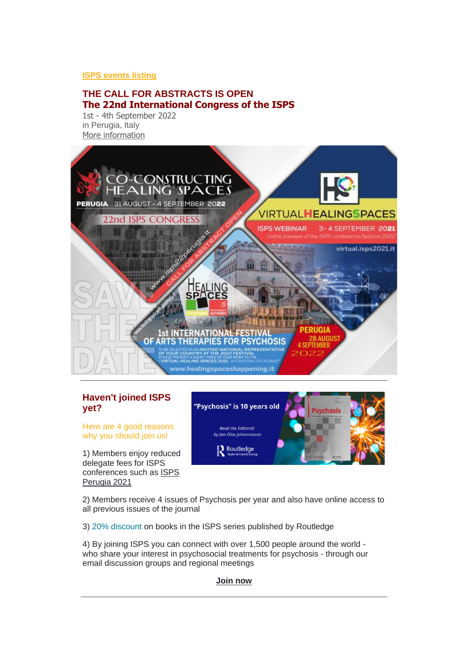#### **[ISPS events listing](https://r20.rs6.net/tn.jsp?f=001FMwv3d49ifISte2pry2pDt2GtwLVPLlz5pX-Kv_E4SF4E3cW_pJYk02txxvtkG01MfgNsEAWIQDr1xI85TGoWaj8_ZvYlOITXXqm7JQEldLl3wuRccuLgqwD88R_MDbIt4JYfk6fAPZBdeFqlp0HrmgQFBCUq6vuS314P1hD8VO6ji-dovhf7dkMplt-nuZG1ugCH9gTsHUsxjHwtUgJcZb1khTFp6-TNt0aKbWTWs0=&c=zeE6mHBMrbENLjR4fe2F8DUs4wC0pqfj-1cqH6BULQ16MUxSEIEt8A==&ch=zKTcJJR6plSN4pZfr5apS8TihLtcTZ4isRhrJGNF2qLmNcYolKLFEQ==&jrc=1)**

### **THE CALL FOR ABSTRACTS IS OPEN The 22nd International Congress of the ISPS**

1st - 4th September 2022 in Perugia, Italy [More information](https://r20.rs6.net/tn.jsp?f=001FMwv3d49ifISte2pry2pDt2GtwLVPLlz5pX-Kv_E4SF4E3cW_pJYk3LTLl828arB5sBivx9ulqweHn3ZKSlnS6XUjBQqJN9U1WGTyAZURGNvhd6mqHtkFuCBTWzjH68b1bLGGNZ-XLY=&c=zeE6mHBMrbENLjR4fe2F8DUs4wC0pqfj-1cqH6BULQ16MUxSEIEt8A==&ch=zKTcJJR6plSN4pZfr5apS8TihLtcTZ4isRhrJGNF2qLmNcYolKLFEQ==&jrc=1)



## **Haven't joined ISPS yet?**

Here are 4 good reasons why you should join us!

1) Members enjoy reduced delegate fees for ISPS conferences such as [ISPS](https://r20.rs6.net/tn.jsp?f=001FMwv3d49ifISte2pry2pDt2GtwLVPLlz5pX-Kv_E4SF4E3cW_pJYk3LTLl828arB5sBivx9ulqweHn3ZKSlnS6XUjBQqJN9U1WGTyAZURGNvhd6mqHtkFuCBTWzjH68b1bLGGNZ-XLY=&c=zeE6mHBMrbENLjR4fe2F8DUs4wC0pqfj-1cqH6BULQ16MUxSEIEt8A==&ch=zKTcJJR6plSN4pZfr5apS8TihLtcTZ4isRhrJGNF2qLmNcYolKLFEQ==&jrc=1)  [Perugia 2021](https://r20.rs6.net/tn.jsp?f=001FMwv3d49ifISte2pry2pDt2GtwLVPLlz5pX-Kv_E4SF4E3cW_pJYk3LTLl828arB5sBivx9ulqweHn3ZKSlnS6XUjBQqJN9U1WGTyAZURGNvhd6mqHtkFuCBTWzjH68b1bLGGNZ-XLY=&c=zeE6mHBMrbENLjR4fe2F8DUs4wC0pqfj-1cqH6BULQ16MUxSEIEt8A==&ch=zKTcJJR6plSN4pZfr5apS8TihLtcTZ4isRhrJGNF2qLmNcYolKLFEQ==&jrc=1)



2) Members receive 4 issues of Psychosis per year and also have online access to all previous issues of the journal

3) 20% discount on books in the ISPS series published by Routledge

4) By joining ISPS you can connect with over 1,500 people around the world who share your interest in psychosocial treatments for psychosis - through our email discussion groups and regional meetings

#### **[Join now](https://r20.rs6.net/tn.jsp?f=001FMwv3d49ifISte2pry2pDt2GtwLVPLlz5pX-Kv_E4SF4E3cW_pJYk6t0dWhF0KPanjhN993idqieuXes4Wzl5QLJKXA7zhHzyD4R4kswfW05-yrugdYVJoGu9yKpnPba25XwlxV6FyNQrdRmEcWLoKg1S175P0mxRAbHCe1M6HHx_XiYKQA9uiCoCEEWWrg0ZjVBDS5vVZGsR0RzJVUrfg==&c=zeE6mHBMrbENLjR4fe2F8DUs4wC0pqfj-1cqH6BULQ16MUxSEIEt8A==&ch=zKTcJJR6plSN4pZfr5apS8TihLtcTZ4isRhrJGNF2qLmNcYolKLFEQ==&jrc=1)**